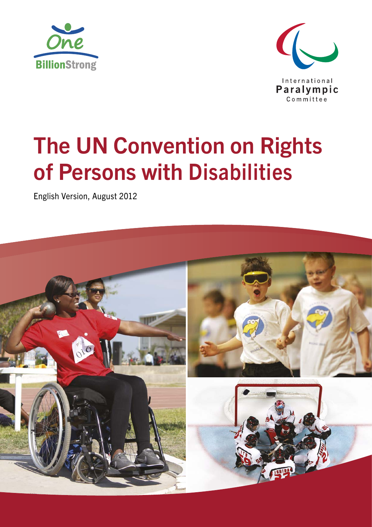



# The UN Convention on Rights of Persons with Disabilities

English Version, August 2012

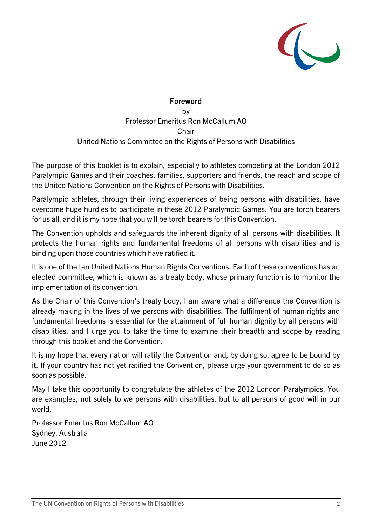

#### Foreword

by Professor Emeritus Ron McCallum AO **Chair** United Nations Committee on the Rights of Persons with Disabilities

The purpose of this booklet is to explain, especially to athletes competing at the London 2012 Paralympic Games and their coaches, families, supporters and friends, the reach and scope of the United Nations Convention on the Rights of Persons with Disabilities.

Paralympic athletes, through their living experiences of being persons with disabilities, have overcome huge hurdles to participate in these 2012 Paralympic Games. You are torch bearers for us all, and it is my hope that you will be torch bearers for this Convention.

The Convention upholds and safeguards the inherent dignity of all persons with disabilities. It protects the human rights and fundamental freedoms of all persons with disabilities and is binding upon those countries which have ratified it.

It is one of the ten United Nations Human Rights Conventions. Each of these conventions has an elected committee, which is known as a treaty body, whose primary function is to monitor the implementation of its convention.

As the Chair of this Convention's treaty body, I am aware what a difference the Convention is already making in the lives of we persons with disabilities. The fulfilment of human rights and fundamental freedoms is essential for the attainment of full human dignity by all persons with disabilities, and I urge you to take the time to examine their breadth and scope by reading through this booklet and the Convention.

It is my hope that every nation will ratify the Convention and, by doing so, agree to be bound by it. If your country has not yet ratified the Convention, please urge your government to do so as soon as possible.

May I take this opportunity to congratulate the athletes of the 2012 London Paralympics. You are examples, not solely to we persons with disabilities, but to all persons of good will in our world.

Professor Emeritus Ron McCallum AO Sydney, Australia June 2012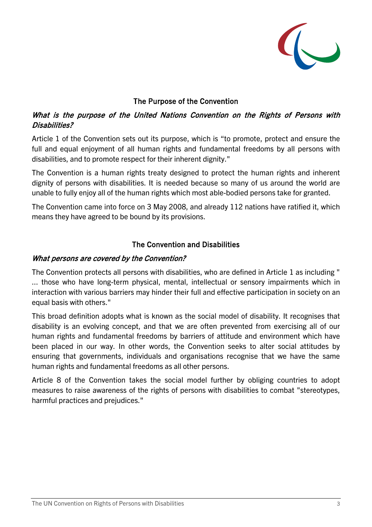

## The Purpose of the Convention

## What is the purpose of the United Nations Convention on the Rights of Persons with Disabilities?

Article 1 of the Convention sets out its purpose, which is "to promote, protect and ensure the full and equal enjoyment of all human rights and fundamental freedoms by all persons with disabilities, and to promote respect for their inherent dignity."

The Convention is a human rights treaty designed to protect the human rights and inherent dignity of persons with disabilities. It is needed because so many of us around the world are unable to fully enjoy all of the human rights which most able-bodied persons take for granted.

The Convention came into force on 3 May 2008, and already 112 nations have ratified it, which means they have agreed to be bound by its provisions.

## The Convention and Disabilities

#### What persons are covered by the Convention?

The Convention protects all persons with disabilities, who are defined in Article 1 as including " ... those who have long-term physical, mental, intellectual or sensory impairments which in interaction with various barriers may hinder their full and effective participation in society on an equal basis with others."

This broad definition adopts what is known as the social model of disability. It recognises that disability is an evolving concept, and that we are often prevented from exercising all of our human rights and fundamental freedoms by barriers of attitude and environment which have been placed in our way. In other words, the Convention seeks to alter social attitudes by ensuring that governments, individuals and organisations recognise that we have the same human rights and fundamental freedoms as all other persons.

Article 8 of the Convention takes the social model further by obliging countries to adopt measures to raise awareness of the rights of persons with disabilities to combat "stereotypes, harmful practices and prejudices."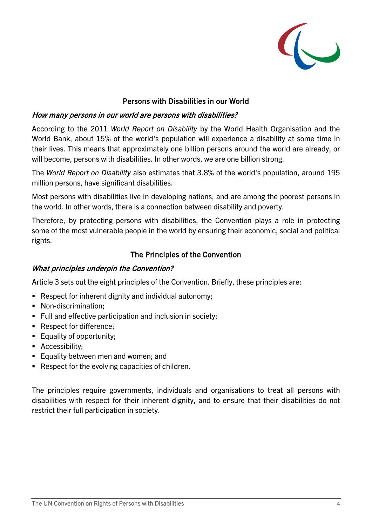

## Persons with Disabilities in our World

#### How many persons in our world are persons with disabilities?

According to the 2011 *World Report on Disability* by the World Health Organisation and the World Bank, about 15% of the world's population will experience a disability at some time in their lives. This means that approximately one billion persons around the world are already, or will become, persons with disabilities. In other words, we are one billion strong.

The *World Report on Disability* also estimates that 3.8% of the world's population, around 195 million persons, have significant disabilities.

Most persons with disabilities live in developing nations, and are among the poorest persons in the world. In other words, there is a connection between disability and poverty.

Therefore, by protecting persons with disabilities, the Convention plays a role in protecting some of the most vulnerable people in the world by ensuring their economic, social and political rights.

### The Principles of the Convention

#### What principles underpin the Convention?

Article 3 sets out the eight principles of the Convention. Briefly, these principles are:

- Respect for inherent dignity and individual autonomy;
- Non-discrimination:
- **Full and effective participation and inclusion in society;**
- Respect for difference;
- **Equality of opportunity;**
- **Accessibility;**
- **Equality between men and women; and**
- Respect for the evolving capacities of children.

The principles require governments, individuals and organisations to treat all persons with disabilities with respect for their inherent dignity, and to ensure that their disabilities do not restrict their full participation in society.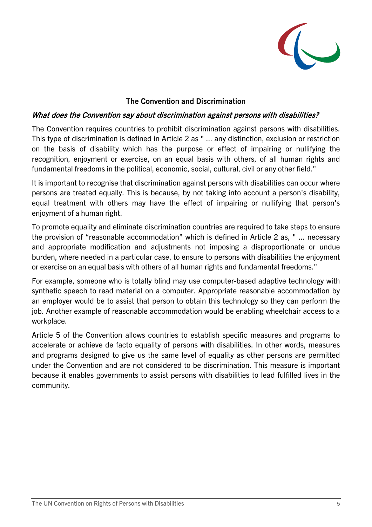

## The Convention and Discrimination

#### What does the Convention say about discrimination against persons with disabilities?

The Convention requires countries to prohibit discrimination against persons with disabilities. This type of discrimination is defined in Article 2 as " ... any distinction, exclusion or restriction on the basis of disability which has the purpose or effect of impairing or nullifying the recognition, enjoyment or exercise, on an equal basis with others, of all human rights and fundamental freedoms in the political, economic, social, cultural, civil or any other field."

It is important to recognise that discrimination against persons with disabilities can occur where persons are treated equally. This is because, by not taking into account a person's disability, equal treatment with others may have the effect of impairing or nullifying that person's enjoyment of a human right.

To promote equality and eliminate discrimination countries are required to take steps to ensure the provision of "reasonable accommodation" which is defined in Article 2 as, " ... necessary and appropriate modification and adjustments not imposing a disproportionate or undue burden, where needed in a particular case, to ensure to persons with disabilities the enjoyment or exercise on an equal basis with others of all human rights and fundamental freedoms."

For example, someone who is totally blind may use computer-based adaptive technology with synthetic speech to read material on a computer. Appropriate reasonable accommodation by an employer would be to assist that person to obtain this technology so they can perform the job. Another example of reasonable accommodation would be enabling wheelchair access to a workplace.

Article 5 of the Convention allows countries to establish specific measures and programs to accelerate or achieve de facto equality of persons with disabilities. In other words, measures and programs designed to give us the same level of equality as other persons are permitted under the Convention and are not considered to be discrimination. This measure is important because it enables governments to assist persons with disabilities to lead fulfilled lives in the community.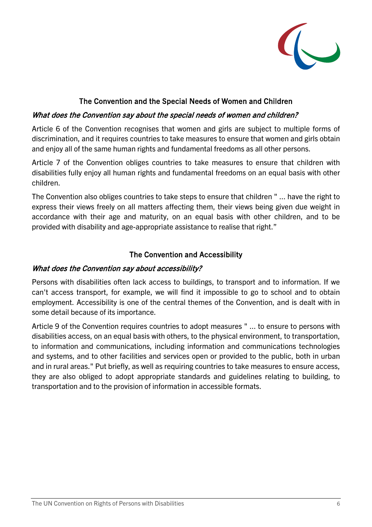

## The Convention and the Special Needs of Women and Children

#### What does the Convention say about the special needs of women and children?

Article 6 of the Convention recognises that women and girls are subject to multiple forms of discrimination, and it requires countries to take measures to ensure that women and girls obtain and enjoy all of the same human rights and fundamental freedoms as all other persons.

Article 7 of the Convention obliges countries to take measures to ensure that children with disabilities fully enjoy all human rights and fundamental freedoms on an equal basis with other children.

The Convention also obliges countries to take steps to ensure that children " ... have the right to express their views freely on all matters affecting them, their views being given due weight in accordance with their age and maturity, on an equal basis with other children, and to be provided with disability and age-appropriate assistance to realise that right."

### The Convention and Accessibility

#### What does the Convention say about accessibility?

Persons with disabilities often lack access to buildings, to transport and to information. If we can't access transport, for example, we will find it impossible to go to school and to obtain employment. Accessibility is one of the central themes of the Convention, and is dealt with in some detail because of its importance.

Article 9 of the Convention requires countries to adopt measures " ... to ensure to persons with disabilities access, on an equal basis with others, to the physical environment, to transportation, to information and communications, including information and communications technologies and systems, and to other facilities and services open or provided to the public, both in urban and in rural areas." Put briefly, as well as requiring countries to take measures to ensure access, they are also obliged to adopt appropriate standards and guidelines relating to building, to transportation and to the provision of information in accessible formats.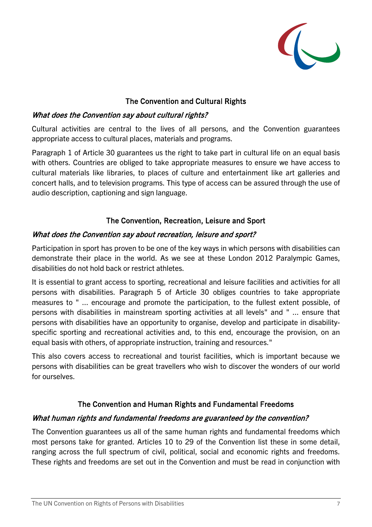

## The Convention and Cultural Rights

### What does the Convention say about cultural rights?

Cultural activities are central to the lives of all persons, and the Convention guarantees appropriate access to cultural places, materials and programs.

Paragraph 1 of Article 30 guarantees us the right to take part in cultural life on an equal basis with others. Countries are obliged to take appropriate measures to ensure we have access to cultural materials like libraries, to places of culture and entertainment like art galleries and concert halls, and to television programs. This type of access can be assured through the use of audio description, captioning and sign language.

## The Convention, Recreation, Leisure and Sport

#### What does the Convention say about recreation, leisure and sport?

Participation in sport has proven to be one of the key ways in which persons with disabilities can demonstrate their place in the world. As we see at these London 2012 Paralympic Games, disabilities do not hold back or restrict athletes.

It is essential to grant access to sporting, recreational and leisure facilities and activities for all persons with disabilities. Paragraph 5 of Article 30 obliges countries to take appropriate measures to " ... encourage and promote the participation, to the fullest extent possible, of persons with disabilities in mainstream sporting activities at all levels" and " ... ensure that persons with disabilities have an opportunity to organise, develop and participate in disabilityspecific sporting and recreational activities and, to this end, encourage the provision, on an equal basis with others, of appropriate instruction, training and resources."

This also covers access to recreational and tourist facilities, which is important because we persons with disabilities can be great travellers who wish to discover the wonders of our world for ourselves.

## The Convention and Human Rights and Fundamental Freedoms

#### What human rights and fundamental freedoms are guaranteed by the convention?

The Convention guarantees us all of the same human rights and fundamental freedoms which most persons take for granted. Articles 10 to 29 of the Convention list these in some detail, ranging across the full spectrum of civil, political, social and economic rights and freedoms. These rights and freedoms are set out in the Convention and must be read in conjunction with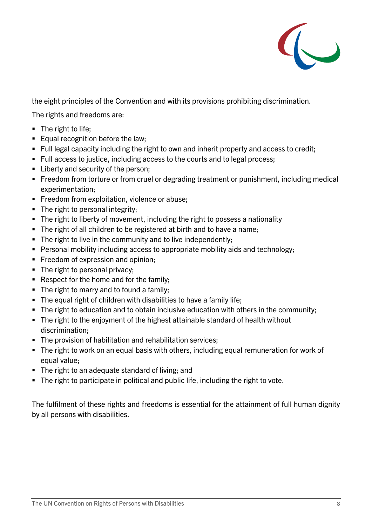

the eight principles of the Convention and with its provisions prohibiting discrimination.

The rights and freedoms are:

- $\blacksquare$  The right to life;
- Equal recognition before the law;
- Full legal capacity including the right to own and inherit property and access to credit;
- Full access to justice, including access to the courts and to legal process;
- Liberty and security of the person;
- Freedom from torture or from cruel or degrading treatment or punishment, including medical experimentation;
- **Freedom from exploitation, violence or abuse;**
- The right to personal integrity;
- The right to liberty of movement, including the right to possess a nationality
- The right of all children to be registered at birth and to have a name;
- The right to live in the community and to live independently;
- Personal mobility including access to appropriate mobility aids and technology;
- Freedom of expression and opinion;
- The right to personal privacy;
- Respect for the home and for the family;
- The right to marry and to found a family;
- The equal right of children with disabilities to have a family life;
- The right to education and to obtain inclusive education with others in the community;
- The right to the enjoyment of the highest attainable standard of health without discrimination;
- **The provision of habilitation and rehabilitation services;**
- The right to work on an equal basis with others, including equal remuneration for work of equal value;
- **The right to an adequate standard of living; and**
- The right to participate in political and public life, including the right to vote.

The fulfilment of these rights and freedoms is essential for the attainment of full human dignity by all persons with disabilities.